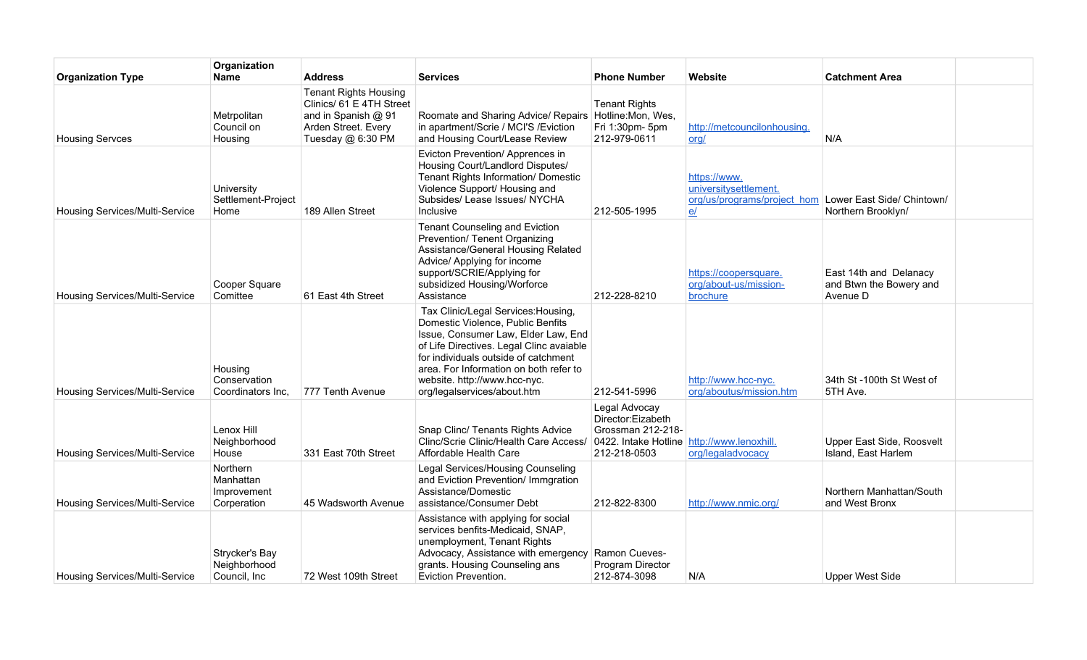| <b>Organization Type</b>              | Organization<br><b>Name</b>                                | <b>Address</b>                                                                                                              | <b>Services</b>                                                                                                                                                                                                                                                                                              | <b>Phone Number</b>                                                                                                   | Website                                                                     | <b>Catchment Area</b>                                         |  |
|---------------------------------------|------------------------------------------------------------|-----------------------------------------------------------------------------------------------------------------------------|--------------------------------------------------------------------------------------------------------------------------------------------------------------------------------------------------------------------------------------------------------------------------------------------------------------|-----------------------------------------------------------------------------------------------------------------------|-----------------------------------------------------------------------------|---------------------------------------------------------------|--|
| <b>Housing Servces</b>                | Metrpolitan<br>Council on<br>Housing                       | <b>Tenant Rights Housing</b><br>Clinics/ 61 E 4TH Street<br>and in Spanish @ 91<br>Arden Street. Every<br>Tuesday @ 6:30 PM | Roomate and Sharing Advice/ Repairs   Hotline: Mon, Wes,<br>in apartment/Scrie / MCI'S / Eviction<br>and Housing Court/Lease Review                                                                                                                                                                          | <b>Tenant Rights</b><br>Fri 1:30pm- 5pm<br>212-979-0611                                                               | http://metcouncilonhousing.<br>ord/                                         | N/A                                                           |  |
| Housing Services/Multi-Service        | University<br>Settlement-Project<br>Home                   | 189 Allen Street                                                                                                            | Evicton Prevention/ Apprences in<br>Housing Court/Landlord Disputes/<br>Tenant Rights Information/ Domestic<br>Violence Support/ Housing and<br>Subsides/ Lease Issues/ NYCHA<br>Inclusive                                                                                                                   | 212-505-1995                                                                                                          | https://www.<br>universitysettlement.<br>org/us/programs/project_hom<br>$e$ | Lower East Side/ Chintown/<br>Northern Brooklyn/              |  |
| Housing Services/Multi-Service        | Cooper Square<br>Comittee                                  | 61 East 4th Street                                                                                                          | <b>Tenant Counseling and Eviction</b><br>Prevention/ Tenent Organizing<br>Assistance/General Housing Related<br>Advice/ Applying for income<br>support/SCRIE/Applying for<br>subsidized Housing/Worforce<br>Assistance                                                                                       | 212-228-8210                                                                                                          | https://coopersquare.<br>org/about-us/mission-<br>brochure                  | East 14th and Delanacy<br>and Btwn the Bowery and<br>Avenue D |  |
| Housing Services/Multi-Service        | Housing<br>Conservation<br>Coordinators Inc,               | 777 Tenth Avenue                                                                                                            | Tax Clinic/Legal Services: Housing,<br>Domestic Violence, Public Benfits<br>Issue, Consumer Law, Elder Law, End<br>of Life Directives. Legal Clinc avaiable<br>for individuals outside of catchment<br>area. For Information on both refer to<br>website. http://www.hcc-nyc.<br>org/legalservices/about.htm | 212-541-5996                                                                                                          | http://www.hcc-nyc.<br>org/aboutus/mission.htm                              | 34th St-100th St West of<br>5TH Ave.                          |  |
| Housing Services/Multi-Service        | Lenox Hill<br>Neighborhood<br>House                        | 331 East 70th Street                                                                                                        | Snap Clinc/ Tenants Rights Advice<br>Clinc/Scrie Clinic/Health Care Access/<br>Affordable Health Care                                                                                                                                                                                                        | Legal Advocay<br>Director:Eizabeth<br>Grossman 212-218-<br>0422. Intake Hotline http://www.lenoxhill.<br>212-218-0503 | org/legaladvocacy                                                           | Upper East Side, Roosvelt<br>Island, East Harlem              |  |
| Housing Services/Multi-Service        | <b>Northern</b><br>Manhattan<br>Improvement<br>Corperation | 45 Wadsworth Avenue                                                                                                         | Legal Services/Housing Counseling<br>and Eviction Prevention/ Immgration<br>Assistance/Domestic<br>assistance/Consumer Debt                                                                                                                                                                                  | 212-822-8300                                                                                                          | http://www.nmic.org/                                                        | Northern Manhattan/South<br>and West Bronx                    |  |
| <b>Housing Services/Multi-Service</b> | Strycker's Bay<br>Neighborhood<br>Council, Inc.            | 72 West 109th Street                                                                                                        | Assistance with applying for social<br>services benfits-Medicaid, SNAP,<br>unemployment, Tenant Rights<br>Advocacy, Assistance with emergency<br>grants. Housing Counseling ans<br>Eviction Prevention.                                                                                                      | Ramon Cueves-<br>Program Director<br>212-874-3098                                                                     | N/A                                                                         | <b>Upper West Side</b>                                        |  |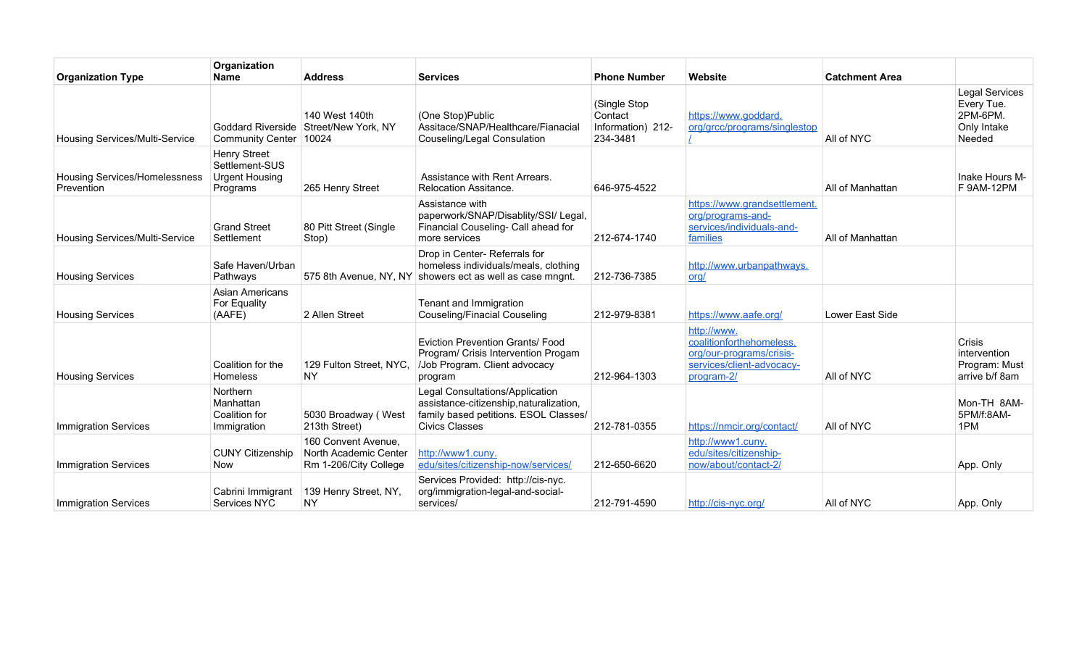| <b>Organization Type</b>                    | Organization<br><b>Name</b>                                                | <b>Address</b>                                                        | <b>Services</b>                                                                                                                              | <b>Phone Number</b>                                      | Website                                                                                                        | <b>Catchment Area</b> |                                                                          |
|---------------------------------------------|----------------------------------------------------------------------------|-----------------------------------------------------------------------|----------------------------------------------------------------------------------------------------------------------------------------------|----------------------------------------------------------|----------------------------------------------------------------------------------------------------------------|-----------------------|--------------------------------------------------------------------------|
| Housing Services/Multi-Service              | Community Center   10024                                                   | 140 West 140th<br>Goddard Riverside Street/New York, NY               | (One Stop)Public<br>Assitace/SNAP/Healthcare/Fianacia<br>Couseling/Legal Consulation                                                         | (Single Stop<br>Contact<br>Information) 212-<br>234-3481 | https://www.goddard.<br>org/grcc/programs/singlestop                                                           | All of NYC            | <b>Legal Services</b><br>Every Tue.<br>2PM-6PM.<br>Only Intake<br>Needed |
| Housing Services/Homelessness<br>Prevention | <b>Henry Street</b><br>Settlement-SUS<br><b>Urgent Housing</b><br>Programs | 265 Henry Street                                                      | Assistance with Rent Arrears.<br>Relocation Assitance.                                                                                       | 646-975-4522                                             |                                                                                                                | All of Manhattan      | Inake Hours M-<br>F 9AM-12PM                                             |
| Housing Services/Multi-Service              | <b>Grand Street</b><br>Settlement                                          | 80 Pitt Street (Single<br>Stop)                                       | Assistance with<br>paperwork/SNAP/Disablity/SSI/ Legal,<br>Financial Couseling- Call ahead for<br>more services                              | 212-674-1740                                             | https://www.grandsettlement.<br>org/programs-and-<br>services/individuals-and-<br>families                     | All of Manhattan      |                                                                          |
| <b>Housing Services</b>                     | Safe Haven/Urban<br>Pathways                                               |                                                                       | Drop in Center-Referrals for<br>homeless individuals/meals, clothing<br>575 8th Avenue, NY, NY showers ect as well as case mngnt.            | 212-736-7385                                             | http://www.urbanpathways.<br>org/                                                                              |                       |                                                                          |
| <b>Housing Services</b>                     | Asian Americans<br>For Equality<br>(AAFE)                                  | 2 Allen Street                                                        | Tenant and Immigration<br><b>Couseling/Finacial Couseling</b>                                                                                | 212-979-8381                                             | https://www.aafe.org/                                                                                          | Lower East Side       |                                                                          |
| <b>Housing Services</b>                     | Coalition for the<br>Homeless                                              | 129 Fulton Street, NYC,<br><b>NY</b>                                  | <b>Eviction Prevention Grants/ Food</b><br>Program/ Crisis Intervention Progam<br>/Job Program. Client advocacy<br>program                   | 212-964-1303                                             | http://www.<br>coalitionforthehomeless.<br>org/our-programs/crisis-<br>services/client-advocacy-<br>program-2/ | All of NYC            | <b>Crisis</b><br>intervention<br>Program: Must<br>arrive b/f 8am         |
| Immigration Services                        | <b>Northern</b><br>Manhattan<br>Coalition for<br>Immigration               | 5030 Broadway (West<br>213th Street)                                  | Legal Consultations/Application<br>assistance-citizenship, naturalization,<br>family based petitions. ESOL Classes/<br><b>Civics Classes</b> | 212-781-0355                                             | https://nmcir.org/contact/                                                                                     | All of NYC            | Mon-TH 8AM-<br>5PM/f:8AM-<br>1PM                                         |
| <b>Immigration Services</b>                 | <b>CUNY Citizenship</b><br><b>Now</b>                                      | 160 Convent Avenue,<br>North Academic Center<br>Rm 1-206/City College | http://www1.cuny.<br>edu/sites/citizenship-now/services/                                                                                     | 212-650-6620                                             | http://www1.cuny.<br>edu/sites/citizenship-<br>now/about/contact-2/                                            |                       | App. Only                                                                |
| <b>Immigration Services</b>                 | Cabrini Immigrant<br>Services NYC                                          | 139 Henry Street, NY,<br><b>NY</b>                                    | Services Provided: http://cis-nyc.<br>org/immigration-legal-and-social-<br>services/                                                         | 212-791-4590                                             | http://cis-nyc.org/                                                                                            | All of NYC            | App. Only                                                                |